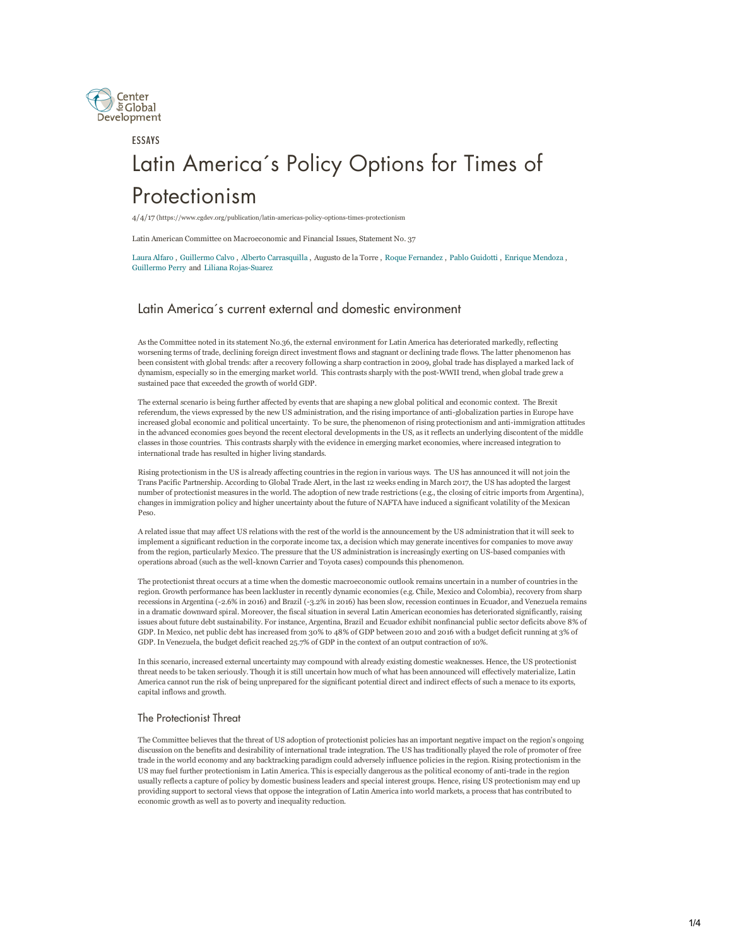

# ESSAYS Latin America´s Policy Options for Times of Protectionism

4/4/17 (https://www.cgdev.org/publication/latin-americas-policy-options-times-protectionism

Latin American Committee on Macroeconomic and Financial Issues, Statement No. 37

[Laura Alfaro](http://www.hbs.edu/faculty/Pages/profile.aspx?facId=6629) , [Guillermo Calvo](http://claaf.org/committee-member/guillermo-a-calvo/) , [Alberto Carrasquilla](http://claaf.org/committee-member/alberto-carrasquilla/) , Augusto de la Torre , [Roque Fernandez](http://claaf.org/committee-member/roque-benjamin-fernandez/) , [Pablo Guidotti](http://claaf.org/committee-member/pablo-guidotti/) , [Enrique Mendoza](http://www.sas.upenn.edu/~egme/) , Guillermo Perry and Liliana Rojas-Suarez

## Latin America´s current external and domestic environment

As the Committee noted in its statement No.36, the external environment for Latin America has deteriorated markedly, reflecting worsening terms of trade, declining foreign direct investment flows and stagnant or declining trade flows. The latter phenomenon has been consistent with global trends: after a recovery following a sharp contraction in 2009, global trade has displayed a marked lack of dynamism, especially so in the emerging market world. This contrasts sharply with the post-WWII trend, when global trade grew a sustained pace that exceeded the growth of world GDP.

The external scenario is being further affected by events that are shaping a new global political and economic context. The Brexit referendum, the views expressed by the new US administration, and the rising importance of antiglobalization parties in Europe have increased global economic and political uncertainty. To be sure, the phenomenon of rising protectionism and anti-immigration attitudes in the advanced economies goes beyond the recent electoral developments in the US, as it reflects an underlying discontent of the middle classes in those countries. This contrasts sharply with the evidence in emerging market economies, where increased integration to international trade has resulted in higher living standards.

Rising protectionism in the US is already affecting countries in the region in various ways. The US has announced it will not join the Trans Pacific Partnership. According to Global Trade Alert, in the last 12 weeks ending in March 2017, the US has adopted the largest number of protectionist measures in the world. The adoption of new trade restrictions (e.g., the closing of citric imports from Argentina), changes in immigration policy and higher uncertainty about the future of NAFTA have induced a significant volatility of the Mexican Peso.

A related issue that may affect US relations with the rest of the world is the announcement by the US administration that it will seek to implement a significant reduction in the corporate income tax, a decision which may generate incentives for companies to move away from the region, particularly Mexico. The pressure that the US administration is increasingly exerting on US-based companies with operations abroad (such as the well-known Carrier and Toyota cases) compounds this phenomenon.

The protectionist threat occurs at a time when the domestic macroeconomic outlook remains uncertain in a number of countries in the region. Growth performance has been lackluster in recently dynamic economies (e.g. Chile, Mexico and Colombia), recovery from sharp recessions in Argentina (-2.6% in 2016) and Brazil (-3.2% in 2016) has been slow, recession continues in Ecuador, and Venezuela remains in a dramatic downward spiral. Moreover, the fiscal situation in several Latin American economies has deteriorated significantly, raising issues about future debt sustainability. For instance, Argentina, Brazil and Ecuador exhibit nonfinancial public sector deficits above 8% of GDP. In Mexico, net public debt has increased from 30% to 48% of GDP between 2010 and 2016 with a budget deficit running at 3% of GDP. In Venezuela, the budget deficit reached 25.7% of GDP in the context of an output contraction of 10%.

In this scenario, increased external uncertainty may compound with already existing domestic weaknesses. Hence, the US protectionist threat needs to be taken seriously. Though it is still uncertain how much of what has been announced will effectively materialize, Latin America cannot run the risk of being unprepared for the significant potential direct and indirect effects of such a menace to its exports, capital inflows and growth.

#### The Protectionist Threat

The Committee believes that the threat of US adoption of protectionist policies has an important negative impact on the region's ongoing discussion on the benefits and desirability of international trade integration. The US has traditionally played the role of promoter of free trade in the world economy and any backtracking paradigm could adversely influence policies in the region. Rising protectionism in the US may fuel further protectionism in Latin America. This is especially dangerous as the political economy of anti-trade in the region usually reflects a capture of policy by domestic business leaders and special interest groups. Hence, rising US protectionism may end up providing support to sectoral views that oppose the integration of Latin America into world markets, a process that has contributed to economic growth as well as to poverty and inequality reduction.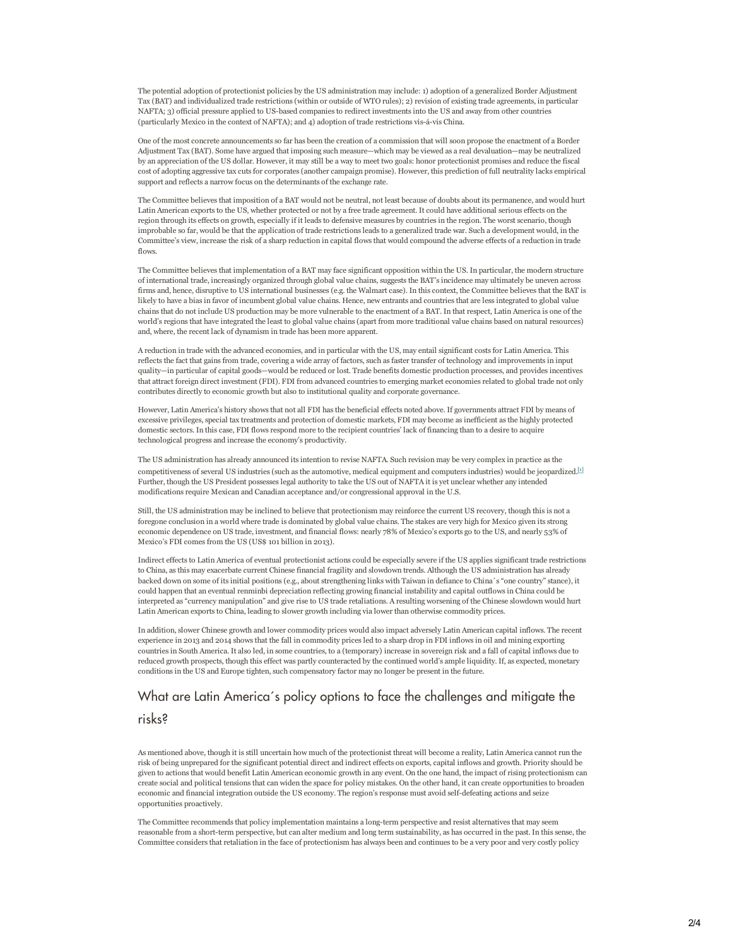The potential adoption of protectionist policies by the US administration may include: 1) adoption of a generalized Border Adjustment Tax (BAT) and individualized trade restrictions (within or outside of WTO rules); 2) revision of existing trade agreements, in particular NAFTA; 3) official pressure applied to US-based companies to redirect investments into the US and away from other countries (particularly Mexico in the context of NAFTA); and 4) adoption of trade restrictions vis-á-vis China.

One of the most concrete announcements so far has been the creation of a commission that will soon propose the enactment of a Border Adjustment Tax (BAT). Some have argued that imposing such measure—which may be viewed as a real devaluation—may be neutralized by an appreciation of the US dollar. However, it may still be a way to meet two goals: honor protectionist promises and reduce the fiscal cost of adopting aggressive tax cuts for corporates (another campaign promise). However, this prediction of full neutrality lacks empirical support and reflects a narrow focus on the determinants of the exchange rate.

The Committee believes that imposition of a BAT would not be neutral, not least because of doubts about its permanence, and would hurt Latin American exports to the US, whether protected or not by a free trade agreement. It could have additional serious effects on the region through its effects on growth, especially if it leads to defensive measures by countries in the region. The worst scenario, though improbable so far, would be that the application of trade restrictions leads to a generalized trade war. Such a development would, in the Committee's view, increase the risk of a sharp reduction in capital flows that would compound the adverse effects of a reduction in trade flows

The Committee believes that implementation of a BAT may face significant opposition within the US. In particular, the modern structure of international trade, increasingly organized through global value chains, suggests the BAT's incidence may ultimately be uneven across firms and, hence, disruptive to US international businesses (e.g. the Walmart case). In this context, the Committee believes that the BAT is likely to have a bias in favor of incumbent global value chains. Hence, new entrants and countries that are less integrated to global value chains that do not include US production may be more vulnerable to the enactment of a BAT. In that respect, Latin America is one of the world's regions that have integrated the least to global value chains (apart from more traditional value chains based on natural resources) and, where, the recent lack of dynamism in trade has been more apparent.

A reduction in trade with the advanced economies, and in particular with the US, may entail significant costs for Latin America. This reflects the fact that gains from trade, covering a wide array of factors, such as faster transfer of technology and improvements in input quality—in particular of capital goods—would be reduced or lost. Trade benefits domestic production processes, and provides incentives that attract foreign direct investment (FDI). FDI from advanced countries to emerging market economies related to global trade not only contributes directly to economic growth but also to institutional quality and corporate governance.

However, Latin America's history shows that not all FDI has the beneficial effects noted above. If governments attract FDI by means of excessive privileges, special tax treatments and protection of domestic markets, FDI may become as inefficient as the highly protected domestic sectors. In this case, FDI flows respond more to the recipient countries' lack of financing than to a desire to acquire technological progress and increase the economy's productivity.

The US administration has already announced its intention to revise NAFTA. Such revision may be very complex in practice as the competitiveness of several US industries (such as the automotive, medical equipment and computers industries) would be jeopardized.<sup>[\[1\]](javascript:void(0);)</sup> Further, though the US President possesses legal authority to take the US out of NAFTA it is yet unclear whether any intended modifications require Mexican and Canadian acceptance and/or congressional approval in the U.S.

Still, the US administration may be inclined to believe that protectionism may reinforce the current US recovery, though this is not a foregone conclusion in a world where trade is dominated by global value chains*.* The stakes are very high for Mexico given its strong economic dependence on US trade, investment, and financial flows: nearly 78% of Mexico's exports go to the US, and nearly 53% of Mexico's FDI comes from the US (US\$ 101 billion in 2013).

Indirect effects to Latin America of eventual protectionist actions could be especially severe if the US applies significant trade restrictions to China, as this may exacerbate current Chinese financial fragility and slowdown trends*.* Although the US administration has already backed down on some of its initial positions (e.g., about strengthening links with Taiwan in defiance to China´s "one country" stance), it could happen that an eventual renminbi depreciation reflecting growing financial instability and capital outflows in China could be interpreted as "currency manipulation" and give rise to US trade retaliations. A resulting worsening of the Chinese slowdown would hurt Latin American exports to China, leading to slower growth including via lower than otherwise commodity prices.

In addition, slower Chinese growth and lower commodity prices would also impact adversely Latin American capital inflows. The recent experience in 2013 and 2014 shows that the fall in commodity prices led to a sharp drop in FDI inflows in oil and mining exporting countries in South America. It also led, in some countries, to a (temporary) increase in sovereign risk and a fall of capital inflows due to reduced growth prospects, though this effect was partly counteracted by the continued world's ample liquidity. If, as expected, monetary conditions in the US and Europe tighten, such compensatory factor may no longer be present in the future.

# What are Latin America´s policy options to face the challenges and mitigate the risks?

As mentioned above, though it is still uncertain how much of the protectionist threat will become a reality, Latin America cannot run the risk of being unprepared for the significant potential direct and indirect effects on exports, capital inflows and growth. Priority should be given to actions that would benefit Latin American economic growth in any event. On the one hand, the impact of rising protectionism can create social and political tensions that can widen the space for policy mistakes. On the other hand, it can create opportunities to broaden economic and financial integration outside the US economy. The region's response must avoid self-defeating actions and seize opportunities proactively.

The Committee recommends that policy implementation maintains a long-term perspective and resist alternatives that may seem reasonable from a short-term perspective, but can alter medium and long term sustainability, as has occurred in the past. In this sense, the Committee considers that retaliation in the face of protectionism has always been and continues to be a very poor and very costly policy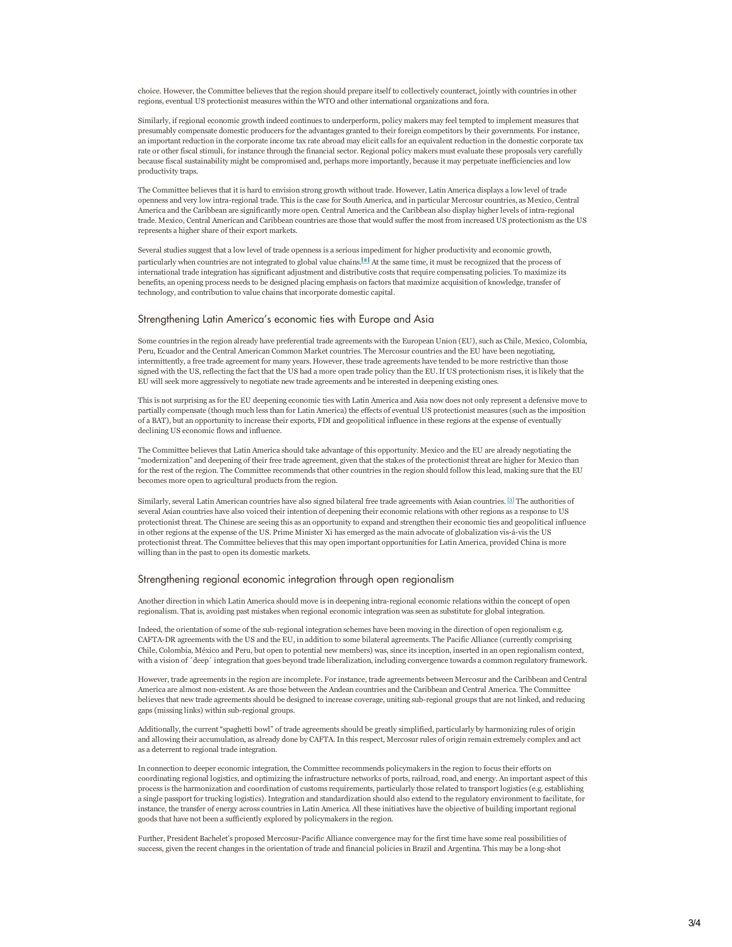choice. However, the Committee believes that the region should prepare itself to collectively counteract, jointly with countries in other regions, eventual US protectionist measures within the WTO and other international organizations and fora.

Similarly, if regional economic growth indeed continues to underperform, policy makers may feel tempted to implement measures that presumably compensate domestic producers for the advantages granted to their foreign competitors by their governments. For instance, an important reduction in the corporate income tax rate abroad may elicit calls for an equivalent reduction in the domestic corporate tax rate or other fiscal stimuli, for instance through the financial sector. Regional policy makers must evaluate these proposals very carefully because fiscal sustainability might be compromised and, perhaps more importantly, because it may perpetuate inefficiencies and low productivity traps.

The Committee believes that it is hard to envision strong growth without trade. However, Latin America displays a low level of trade openness and very low intraregional trade. This is the case for South America, and in particular Mercosur countries, as Mexico, Central America and the Caribbean are significantly more open. Central America and the Caribbean also display higher levels of intra-regional trade. Mexico, Central American and Caribbean countries are those that would suffer the most from increased US protectionism as the US represents a higher share of their export markets.

Several studies suggest that a low level of trade openness is a serious impediment for higher productivity and economic growth, particularly when countries are not integrated to global value chains.[\[2\]](javascript:void(0);) At the same time, it must be recognized that the process of international trade integration has significant adjustment and distributive costs that require compensating policies. To maximize its benefits, an opening process needs to be designed placing emphasis on factors that maximize acquisition of knowledge, transfer of technology, and contribution to value chains that incorporate domestic capital.

#### Strengthening Latin America's economic ties with Europe and Asia

Some countries in the region already have preferential trade agreements with the European Union (EU), such as Chile, Mexico, Colombia, Peru, Ecuador and the Central American Common Market countries. The Mercosur countries and the EU have been negotiating, intermittently, a free trade agreement for many years. However, these trade agreements have tended to be more restrictive than those signed with the US, reflecting the fact that the US had a more open trade policy than the EU. If US protectionism rises, it is likely that the EU will seek more aggressively to negotiate new trade agreements and be interested in deepening existing ones.

This is not surprising as for the EU deepening economic ties with Latin America and Asia now does not only represent a defensive move to partially compensate (though much less than for Latin America) the effects of eventual US protectionist measures (such as the imposition of a BAT), but an opportunity to increase their exports, FDI and geopolitical influence in these regions at the expense of eventually declining US economic flows and influence.

The Committee believes that Latin America should take advantage of this opportunity. Mexico and the EU are already negotiating the "modernization" and deepening of their free trade agreement, given that the stakes of the protectionist threat are higher for Mexico than for the rest of the region. The Committee recommends that other countries in the region should follow this lead, making sure that the EU becomes more open to agricultural products from the region.

Similarly, several Latin American countries have also signed bilateral free trade agreements with Asian countries. [\[3\]](javascript:void(0);) The authorities of several Asian countries have also voiced their intention of deepening their economic relations with other regions as a response to US protectionist threat. The Chinese are seeing this as an opportunity to expand and strengthen their economic ties and geopolitical influence in other regions at the expense of the US. Prime Minister Xi has emerged as the main advocate of globalization vis-á-vis the US protectionist threat. The Committee believes that this may open important opportunities for Latin America, provided China is more willing than in the past to open its domestic markets.

#### Strengthening regional economic integration through open regionalism

Another direction in which Latin America should move is in deepening intraregional economic relations within the concept of open regionalism. That is, avoiding past mistakes when regional economic integration was seen as substitute for global integration.

Indeed, the orientation of some of the sub-regional integration schemes have been moving in the direction of open regionalism e.g. CAFTADR agreements with the US and the EU, in addition to some bilateral agreements. The Pacific Alliance (currently comprising Chile, Colombia, México and Peru, but open to potential new members) was, since its inception, inserted in an open regionalism context, with a vision of ´deep´ integration that goes beyond trade liberalization, including convergence towards a common regulatory framework.

However, trade agreements in the region are incomplete. For instance, trade agreements between Mercosur and the Caribbean and Central America are almost non-existent. As are those between the Andean countries and the Caribbean and Central America. The Committee believes that new trade agreements should be designed to increase coverage, uniting sub-regional groups that are not linked, and reducing gaps (missing links) within sub-regional groups.

Additionally, the current "spaghetti bowl" of trade agreements should be greatly simplified, particularly by harmonizing rules of origin and allowing their accumulation, as already done by CAFTA. In this respect, Mercosur rules of origin remain extremely complex and act as a deterrent to regional trade integration.

In connection to deeper economic integration, the Committee recommends policymakers in the region to focus their efforts on coordinating regional logistics, and optimizing the infrastructure networks of ports, railroad, road, and energy. An important aspect of this process is the harmonization and coordination of customs requirements, particularly those related to transport logistics (e.g. establishing a single passport for trucking logistics). Integration and standardization should also extend to the regulatory environment to facilitate, for instance, the transfer of energy across countries in Latin America. All these initiatives have the objective of building important regional goods that have not been a sufficiently explored by policymakers in the region.

Further, President Bachelet's proposed Mercosur-Pacific Alliance convergence may for the first time have some real possibilities of success, given the recent changes in the orientation of trade and financial policies in Brazil and Argentina. This may be a long-shot